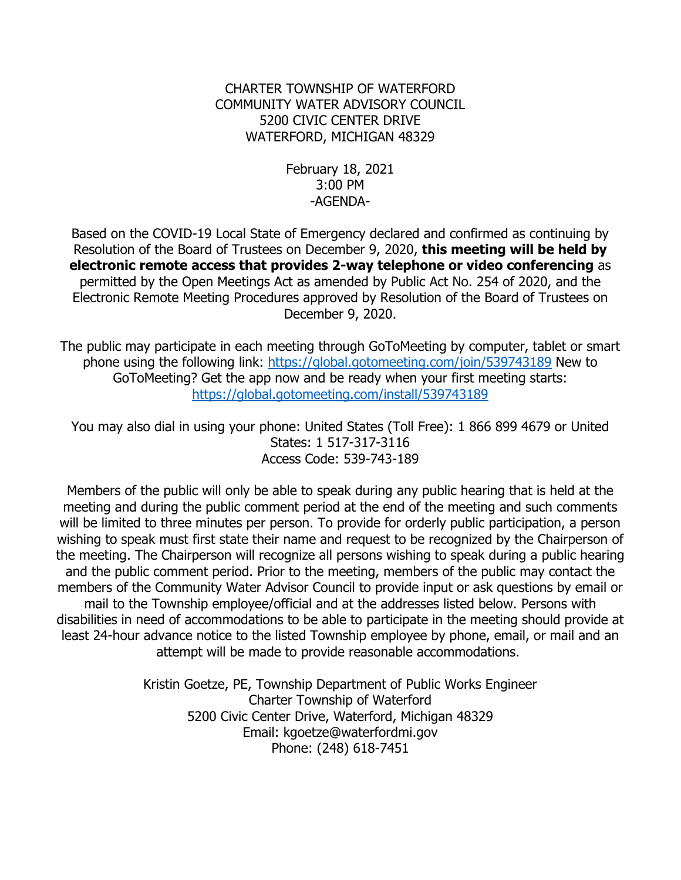## CHARTER TOWNSHIP OF WATERFORD COMMUNITY WATER ADVISORY COUNCIL 5200 CIVIC CENTER DRIVE WATERFORD, MICHIGAN 48329

## February 18, 2021 3:00 PM -AGENDA-

Based on the COVID-19 Local State of Emergency declared and confirmed as continuing by Resolution of the Board of Trustees on December 9, 2020, **this meeting will be held by electronic remote access that provides 2-way telephone or video conferencing** as permitted by the Open Meetings Act as amended by Public Act No. 254 of 2020, and the Electronic Remote Meeting Procedures approved by Resolution of the Board of Trustees on December 9, 2020.

The public may participate in each meeting through GoToMeeting by computer, tablet or smart phone using the following link: [https://global.gotomeeting.com/join/5](https://global.gotomeeting.com/join/142685181)39743189 New to GoToMeeting? Get the app now and be ready when your first meeting starts: <https://global.gotomeeting.com/install/539743189>

You may also dial in using your phone: United States (Toll Free): 1 866 899 4679 or United States: 1 517-317-3116 Access Code: 539-743-189

Members of the public will only be able to speak during any public hearing that is held at the meeting and during the public comment period at the end of the meeting and such comments will be limited to three minutes per person. To provide for orderly public participation, a person wishing to speak must first state their name and request to be recognized by the Chairperson of the meeting. The Chairperson will recognize all persons wishing to speak during a public hearing and the public comment period. Prior to the meeting, members of the public may contact the members of the Community Water Advisor Council to provide input or ask questions by email or mail to the Township employee/official and at the addresses listed below. Persons with disabilities in need of accommodations to be able to participate in the meeting should provide at least 24-hour advance notice to the listed Township employee by phone, email, or mail and an attempt will be made to provide reasonable accommodations.

> Kristin Goetze, PE, Township Department of Public Works Engineer Charter Township of Waterford 5200 Civic Center Drive, Waterford, Michigan 48329 Email: kgoetze@waterfordmi.gov Phone: (248) 618-7451